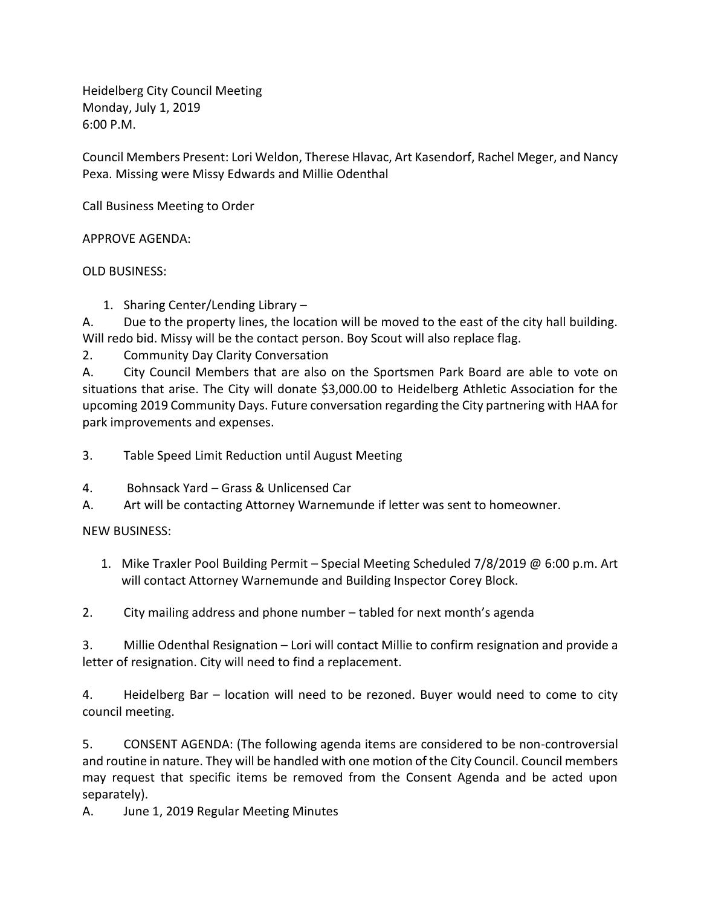Heidelberg City Council Meeting Monday, July 1, 2019 6:00 P.M.

Council Members Present: Lori Weldon, Therese Hlavac, Art Kasendorf, Rachel Meger, and Nancy Pexa. Missing were Missy Edwards and Millie Odenthal

Call Business Meeting to Order

APPROVE AGENDA:

OLD BUSINESS:

1. Sharing Center/Lending Library –

A. Due to the property lines, the location will be moved to the east of the city hall building. Will redo bid. Missy will be the contact person. Boy Scout will also replace flag.

2. Community Day Clarity Conversation

A. City Council Members that are also on the Sportsmen Park Board are able to vote on situations that arise. The City will donate \$3,000.00 to Heidelberg Athletic Association for the upcoming 2019 Community Days. Future conversation regarding the City partnering with HAA for park improvements and expenses.

- 3. Table Speed Limit Reduction until August Meeting
- 4. Bohnsack Yard Grass & Unlicensed Car
- A. Art will be contacting Attorney Warnemunde if letter was sent to homeowner.

NEW BUSINESS:

1. Mike Traxler Pool Building Permit – Special Meeting Scheduled 7/8/2019 @ 6:00 p.m. Art will contact Attorney Warnemunde and Building Inspector Corey Block.

2. City mailing address and phone number – tabled for next month's agenda

3. Millie Odenthal Resignation – Lori will contact Millie to confirm resignation and provide a letter of resignation. City will need to find a replacement.

4. Heidelberg Bar – location will need to be rezoned. Buyer would need to come to city council meeting.

5. CONSENT AGENDA: (The following agenda items are considered to be non-controversial and routine in nature. They will be handled with one motion of the City Council. Council members may request that specific items be removed from the Consent Agenda and be acted upon separately).

A. June 1, 2019 Regular Meeting Minutes